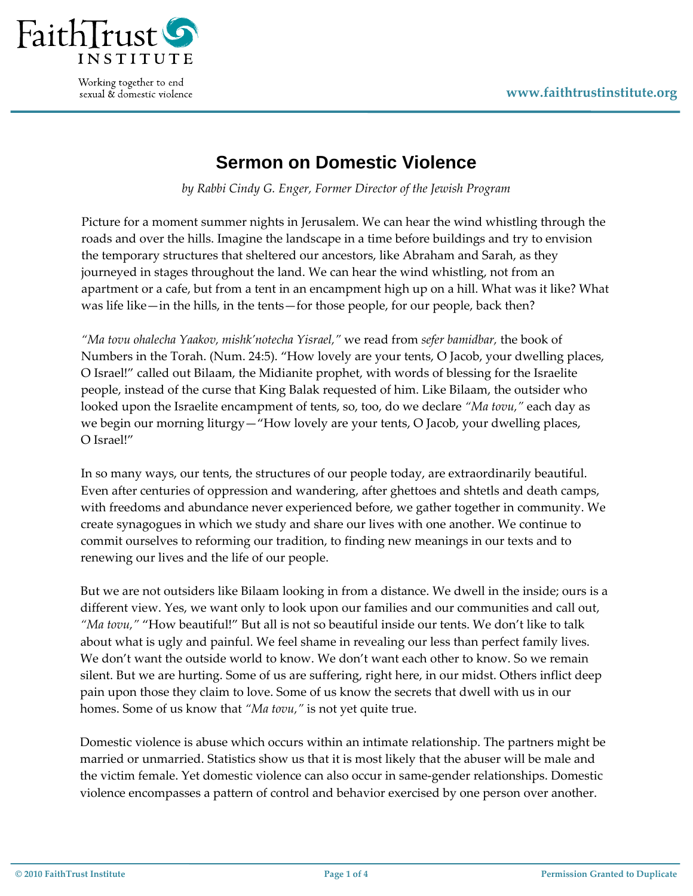

Working together to end sexual & domestic violence

## **Sermon on Domestic Violence**

*by Rabbi Cindy G. Enger, Former Director of the Jewish Program* 

Picture for a moment summer nights in Jerusalem. We can hear the wind whistling through the roads and over the hills. Imagine the landscape in a time before buildings and try to envision the temporary structures that sheltered our ancestors, like Abraham and Sarah, as they journeyed in stages throughout the land. We can hear the wind whistling, not from an apartment or a cafe, but from a tent in an encampment high up on a hill. What was it like? What was life like—in the hills, in the tents—for those people, for our people, back then?

*"Ma tovu ohalecha Yaakov, mishk'notecha Yisrael,"* we read from *sefer bamidbar,* the book of Numbers in the Torah. (Num. 24:5). "How lovely are your tents, O Jacob, your dwelling places, O Israel!" called out Bilaam, the Midianite prophet, with words of blessing for the Israelite people, instead of the curse that King Balak requested of him. Like Bilaam, the outsider who looked upon the Israelite encampment of tents, so, too, do we declare *"Ma tovu,"* each day as we begin our morning liturgy—"How lovely are your tents, O Jacob, your dwelling places, O Israel!"

In so many ways, our tents, the structures of our people today, are extraordinarily beautiful. Even after centuries of oppression and wandering, after ghettoes and shtetls and death camps, with freedoms and abundance never experienced before, we gather together in community. We create synagogues in which we study and share our lives with one another. We continue to commit ourselves to reforming our tradition, to finding new meanings in our texts and to renewing our lives and the life of our people.

But we are not outsiders like Bilaam looking in from a distance. We dwell in the inside; ours is a different view. Yes, we want only to look upon our families and our communities and call out, *"Ma tovu,"* "How beautiful!" But all is not so beautiful inside our tents. We don't like to talk about what is ugly and painful. We feel shame in revealing our less than perfect family lives. We don't want the outside world to know. We don't want each other to know. So we remain silent. But we are hurting. Some of us are suffering, right here, in our midst. Others inflict deep pain upon those they claim to love. Some of us know the secrets that dwell with us in our homes. Some of us know that *"Ma tovu,"* is not yet quite true.

Domestic violence is abuse which occurs within an intimate relationship. The partners might be married or unmarried. Statistics show us that it is most likely that the abuser will be male and the victim female. Yet domestic violence can also occur in same‐gender relationships. Domestic violence encompasses a pattern of control and behavior exercised by one person over another.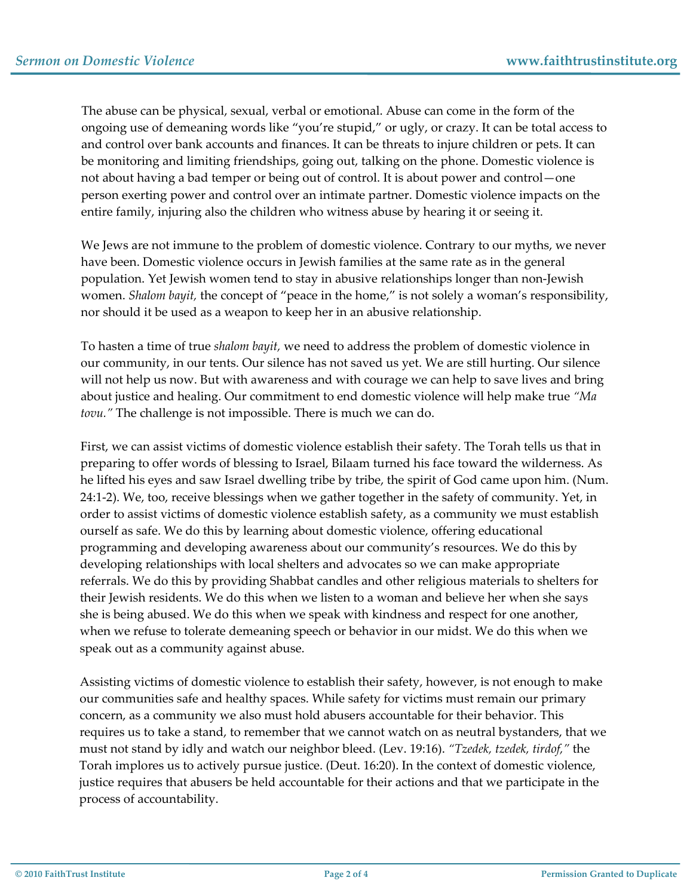The abuse can be physical, sexual, verbal or emotional. Abuse can come in the form of the ongoing use of demeaning words like "you're stupid," or ugly, or crazy. It can be total access to and control over bank accounts and finances. It can be threats to injure children or pets. It can be monitoring and limiting friendships, going out, talking on the phone. Domestic violence is not about having a bad temper or being out of control. It is about power and control—one person exerting power and control over an intimate partner. Domestic violence impacts on the entire family, injuring also the children who witness abuse by hearing it or seeing it.

We Jews are not immune to the problem of domestic violence. Contrary to our myths, we never have been. Domestic violence occurs in Jewish families at the same rate as in the general population. Yet Jewish women tend to stay in abusive relationships longer than non‐Jewish women. *Shalom bayit,* the concept of "peace in the home," is not solely a woman's responsibility, nor should it be used as a weapon to keep her in an abusive relationship.

To hasten a time of true *shalom bayit,* we need to address the problem of domestic violence in our community, in our tents. Our silence has not saved us yet. We are still hurting. Our silence will not help us now. But with awareness and with courage we can help to save lives and bring about justice and healing. Our commitment to end domestic violence will help make true *"Ma tovu."* The challenge is not impossible. There is much we can do.

First, we can assist victims of domestic violence establish their safety. The Torah tells us that in preparing to offer words of blessing to Israel, Bilaam turned his face toward the wilderness. As he lifted his eyes and saw Israel dwelling tribe by tribe, the spirit of God came upon him. (Num. 24:1-2). We, too, receive blessings when we gather together in the safety of community. Yet, in order to assist victims of domestic violence establish safety, as a community we must establish ourself as safe. We do this by learning about domestic violence, offering educational programming and developing awareness about our community's resources. We do this by developing relationships with local shelters and advocates so we can make appropriate referrals. We do this by providing Shabbat candles and other religious materials to shelters for their Jewish residents. We do this when we listen to a woman and believe her when she says she is being abused. We do this when we speak with kindness and respect for one another, when we refuse to tolerate demeaning speech or behavior in our midst. We do this when we speak out as a community against abuse.

Assisting victims of domestic violence to establish their safety, however, is not enough to make our communities safe and healthy spaces. While safety for victims must remain our primary concern, as a community we also must hold abusers accountable for their behavior. This requires us to take a stand, to remember that we cannot watch on as neutral bystanders, that we must not stand by idly and watch our neighbor bleed. (Lev. 19:16). *"Tzedek, tzedek, tirdof,"* the Torah implores us to actively pursue justice. (Deut. 16:20). In the context of domestic violence, justice requires that abusers be held accountable for their actions and that we participate in the process of accountability.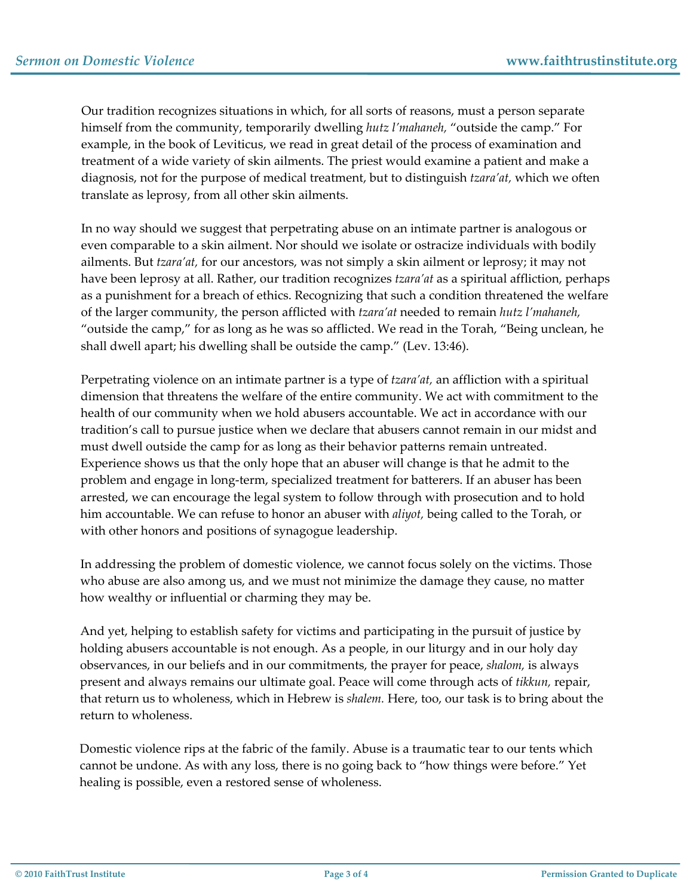Our tradition recognizes situations in which, for all sorts of reasons, must a person separate himself from the community, temporarily dwelling *hutz l'mahaneh,* "outside the camp." For example, in the book of Leviticus, we read in great detail of the process of examination and treatment of a wide variety of skin ailments. The priest would examine a patient and make a diagnosis, not for the purpose of medical treatment, but to distinguish *tzara'at,* which we often translate as leprosy, from all other skin ailments.

In no way should we suggest that perpetrating abuse on an intimate partner is analogous or even comparable to a skin ailment. Nor should we isolate or ostracize individuals with bodily ailments. But *tzara'at,* for our ancestors, was not simply a skin ailment or leprosy; it may not have been leprosy at all. Rather, our tradition recognizes *tzara'at* as a spiritual affliction, perhaps as a punishment for a breach of ethics. Recognizing that such a condition threatened the welfare of the larger community, the person afflicted with *tzara'at* needed to remain *hutz l'mahaneh,* "outside the camp," for as long as he was so afflicted. We read in the Torah, "Being unclean, he shall dwell apart; his dwelling shall be outside the camp." (Lev. 13:46).

Perpetrating violence on an intimate partner is a type of *tzara'at,* an affliction with a spiritual dimension that threatens the welfare of the entire community. We act with commitment to the health of our community when we hold abusers accountable. We act in accordance with our tradition's call to pursue justice when we declare that abusers cannot remain in our midst and must dwell outside the camp for as long as their behavior patterns remain untreated. Experience shows us that the only hope that an abuser will change is that he admit to the problem and engage in long‐term, specialized treatment for batterers. If an abuser has been arrested, we can encourage the legal system to follow through with prosecution and to hold him accountable. We can refuse to honor an abuser with *aliyot,* being called to the Torah, or with other honors and positions of synagogue leadership.

In addressing the problem of domestic violence, we cannot focus solely on the victims. Those who abuse are also among us, and we must not minimize the damage they cause, no matter how wealthy or influential or charming they may be.

And yet, helping to establish safety for victims and participating in the pursuit of justice by holding abusers accountable is not enough. As a people, in our liturgy and in our holy day observances, in our beliefs and in our commitments, the prayer for peace, *shalom,* is always present and always remains our ultimate goal. Peace will come through acts of *tikkun,* repair, that return us to wholeness, which in Hebrew is *shalem.* Here, too, our task is to bring about the return to wholeness.

Domestic violence rips at the fabric of the family. Abuse is a traumatic tear to our tents which cannot be undone. As with any loss, there is no going back to "how things were before." Yet healing is possible, even a restored sense of wholeness.